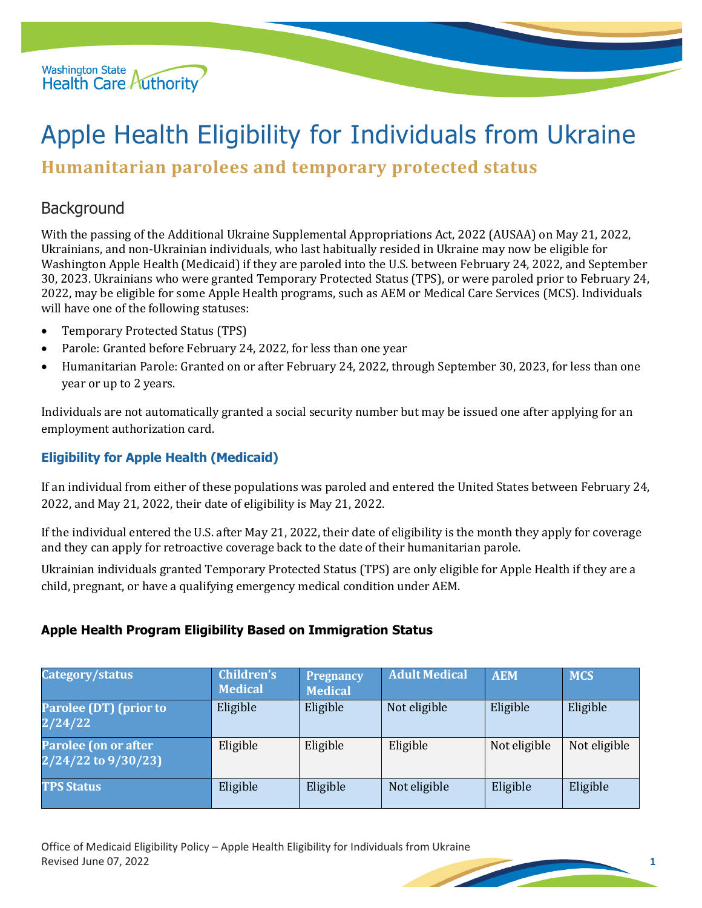

# Apple Health Eligibility for Individuals from Ukraine

# **Humanitarian parolees and temporary protected status**

## Background

With the passing of the Additional Ukraine Supplemental Appropriations Act, 2022 (AUSAA) on May 21, 2022, Ukrainians, and non-Ukrainian individuals, who last habitually resided in Ukraine may now be eligible for Washington Apple Health (Medicaid) if they are paroled into the U.S. between February 24, 2022, and September 30, 2023. Ukrainians who were granted Temporary Protected Status (TPS), or were paroled prior to February 24, 2022, may be eligible for some Apple Health programs, such as AEM or Medical Care Services (MCS). Individuals will have one of the following statuses:

- Temporary Protected Status (TPS)
- Parole: Granted before February 24, 2022, for less than one year
- Humanitarian Parole: Granted on or after February 24, 2022, through September 30, 2023, for less than one year or up to 2 years.

Individuals are not automatically granted a social security number but may be issued one after applying for an employment authorization card.

### **Eligibility for Apple Health (Medicaid)**

If an individual from either of these populations was paroled and entered the United States between February 24, 2022, and May 21, 2022, their date of eligibility is May 21, 2022.

If the individual entered the U.S. after May 21, 2022, their date of eligibility is the month they apply for coverage and they can apply for retroactive coverage back to the date of their humanitarian parole.

Ukrainian individuals granted Temporary Protected Status (TPS) are only eligible for Apple Health if they are a child, pregnant, or have a qualifying emergency medical condition under AEM.

### **Apple Health Program Eligibility Based on Immigration Status**

| Category/status                                    | <b>Children's</b><br><b>Medical</b> | <b>Pregnancy</b><br><b>Medical</b> | <b>Adult Medical</b> | <b>AEM</b>   | <b>MCS</b>   |
|----------------------------------------------------|-------------------------------------|------------------------------------|----------------------|--------------|--------------|
| <b>Parolee (DT) (prior to</b><br>2/24/22           | Eligible                            | Eligible                           | Not eligible         | Eligible     | Eligible     |
| <b>Parolee (on or after</b><br>2/24/22 to 9/30/23) | Eligible                            | Eligible                           | Eligible             | Not eligible | Not eligible |
| <b>TPS Status</b>                                  | Eligible                            | Eligible                           | Not eligible         | Eligible     | Eligible     |